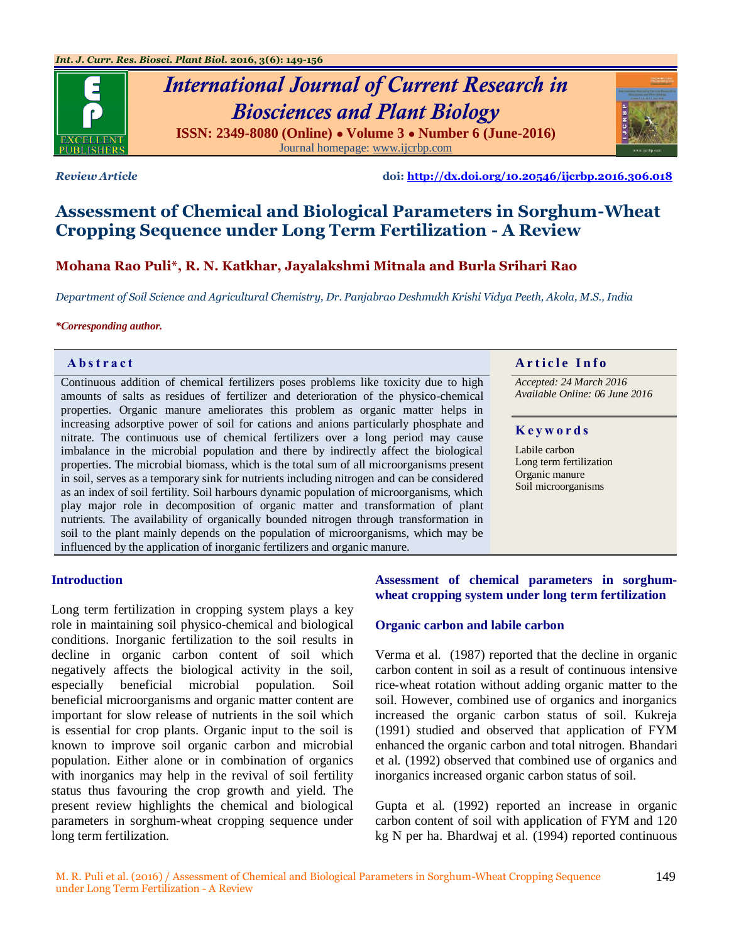

# *International Journal of Current Research in Biosciences and Plant Biology* **ISSN: 2349-8080 (Online) ● Volume 3 ● Number 6 (June-2016)** Journal homepage[: www.ijcrbp.com](http://www.ijcrbp.com/)



*Review Article* **doi:<http://dx.doi.org/10.20546/ijcrbp.2016.306.018>**

# **Assessment of Chemical and Biological Parameters in Sorghum-Wheat Cropping Sequence under Long Term Fertilization - A Review**

# **Mohana Rao Puli\*, R. N. Katkhar, Jayalakshmi Mitnala and Burla Srihari Rao**

*Department of Soil Science and Agricultural Chemistry, Dr. Panjabrao Deshmukh Krishi Vidya Peeth, Akola, M.S., India*

#### *\*Corresponding author.*

Continuous addition of chemical fertilizers poses problems like toxicity due to high amounts of salts as residues of fertilizer and deterioration of the physico-chemical properties. Organic manure ameliorates this problem as organic matter helps in increasing adsorptive power of soil for cations and anions particularly phosphate and nitrate. The continuous use of chemical fertilizers over a long period may cause imbalance in the microbial population and there by indirectly affect the biological properties. The microbial biomass, which is the total sum of all microorganisms present in soil, serves as a temporary sink for nutrients including nitrogen and can be considered as an index of soil fertility. Soil harbours dynamic population of microorganisms, which play major role in decomposition of organic matter and transformation of plant nutrients. The availability of organically bounded nitrogen through transformation in soil to the plant mainly depends on the population of microorganisms, which may be influenced by the application of inorganic fertilizers and organic manure.

# **Abstract And a region of the Info**  $\alpha$  **Article Info**

*Accepted: 24 March 2016 Available Online: 06 June 2016*

#### **K e y w o r d s**

Labile carbon Long term fertilization Organic manure Soil microorganisms

#### **Introduction**

Long term fertilization in cropping system plays a key role in maintaining soil physico-chemical and biological conditions. Inorganic fertilization to the soil results in decline in organic carbon content of soil which negatively affects the biological activity in the soil, especially beneficial microbial population. Soil beneficial microorganisms and organic matter content are important for slow release of nutrients in the soil which is essential for crop plants. Organic input to the soil is known to improve soil organic carbon and microbial population. Either alone or in combination of organics with inorganics may help in the revival of soil fertility status thus favouring the crop growth and yield. The present review highlights the chemical and biological parameters in sorghum-wheat cropping sequence under long term fertilization.

# **Assessment of chemical parameters in sorghumwheat cropping system under long term fertilization**

#### **Organic carbon and labile carbon**

Verma et al*.* (1987) reported that the decline in organic carbon content in soil as a result of continuous intensive rice-wheat rotation without adding organic matter to the soil. However, combined use of organics and inorganics increased the organic carbon status of soil. Kukreja (1991) studied and observed that application of FYM enhanced the organic carbon and total nitrogen. Bhandari et al*.* (1992) observed that combined use of organics and inorganics increased organic carbon status of soil.

Gupta et al*.* (1992) reported an increase in organic carbon content of soil with application of FYM and 120 kg N per ha. Bhardwaj et al*.* (1994) reported continuous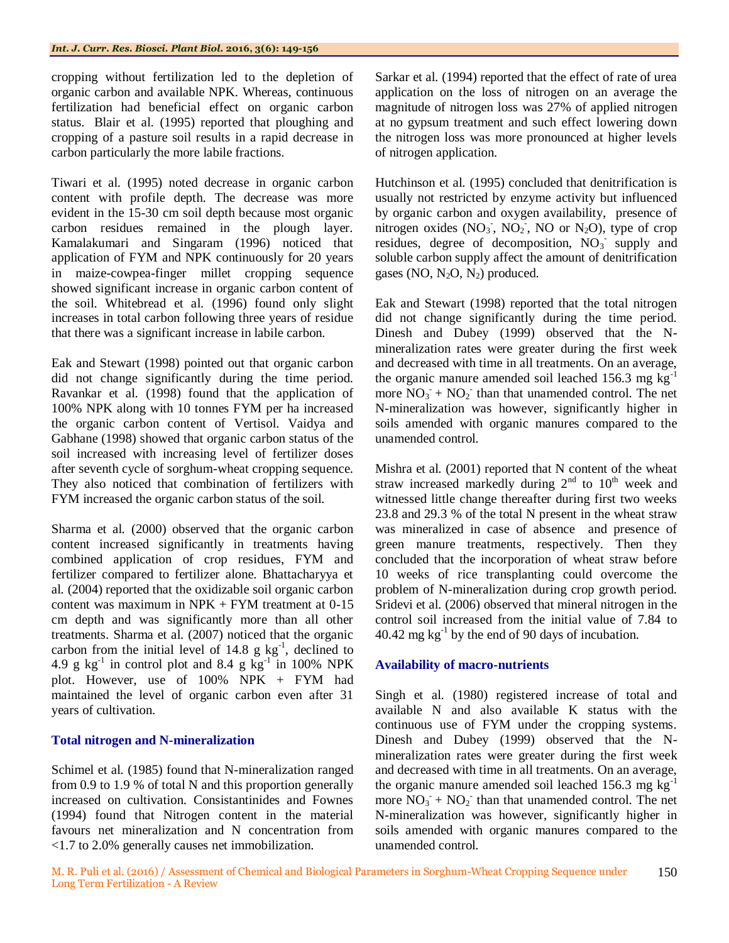cropping without fertilization led to the depletion of organic carbon and available NPK. Whereas, continuous fertilization had beneficial effect on organic carbon status. Blair et al*.* (1995) reported that ploughing and cropping of a pasture soil results in a rapid decrease in carbon particularly the more labile fractions.

Tiwari et al*.* (1995) noted decrease in organic carbon content with profile depth. The decrease was more evident in the 15-30 cm soil depth because most organic carbon residues remained in the plough layer. Kamalakumari and Singaram (1996) noticed that application of FYM and NPK continuously for 20 years in maize-cowpea-finger millet cropping sequence showed significant increase in organic carbon content of the soil. Whitebread et al*.* (1996) found only slight increases in total carbon following three years of residue that there was a significant increase in labile carbon.

Eak and Stewart (1998) pointed out that organic carbon did not change significantly during the time period. Ravankar et al*.* (1998) found that the application of 100% NPK along with 10 tonnes FYM per ha increased the organic carbon content of Vertisol. Vaidya and Gabhane (1998) showed that organic carbon status of the soil increased with increasing level of fertilizer doses after seventh cycle of sorghum-wheat cropping sequence. They also noticed that combination of fertilizers with FYM increased the organic carbon status of the soil.

Sharma et al*.* (2000) observed that the organic carbon content increased significantly in treatments having combined application of crop residues, FYM and fertilizer compared to fertilizer alone. Bhattacharyya et al*.* (2004) reported that the oxidizable soil organic carbon content was maximum in  $NPK + FYM$  treatment at 0-15 cm depth and was significantly more than all other treatments. Sharma et al. (2007) noticed that the organic carbon from the initial level of  $14.8 \text{ g kg}^{-1}$ , declined to 4.9 g  $kg^{-1}$  in control plot and 8.4 g  $kg^{-1}$  in 100% NPK plot. However, use of 100% NPK + FYM had maintained the level of organic carbon even after 31 years of cultivation.

# **Total nitrogen and N-mineralization**

Schimel et al*.* (1985) found that N-mineralization ranged from 0.9 to 1.9 % of total N and this proportion generally increased on cultivation. Consistantinides and Fownes (1994) found that Nitrogen content in the material favours net mineralization and N concentration from <1.7 to 2.0% generally causes net immobilization.

Sarkar et al*.* (1994) reported that the effect of rate of urea application on the loss of nitrogen on an average the magnitude of nitrogen loss was 27% of applied nitrogen at no gypsum treatment and such effect lowering down the nitrogen loss was more pronounced at higher levels of nitrogen application.

Hutchinson et al. (1995) concluded that denitrification is usually not restricted by enzyme activity but influenced by organic carbon and oxygen availability, presence of nitrogen oxides  $(NO<sub>3</sub>, NO<sub>2</sub>, NO or N<sub>2</sub>O)$ , type of crop residues, degree of decomposition,  $NO<sub>3</sub>$  supply and soluble carbon supply affect the amount of denitrification gases (NO,  $N_2O$ ,  $N_2$ ) produced.

Eak and Stewart (1998) reported that the total nitrogen did not change significantly during the time period. Dinesh and Dubey (1999) observed that the Nmineralization rates were greater during the first week and decreased with time in all treatments. On an average, the organic manure amended soil leached 156.3 mg  $kg^{-1}$ more  $\overline{NO_3}$  +  $\overline{NO_2}$  than that unamended control. The net N-mineralization was however, significantly higher in soils amended with organic manures compared to the unamended control.

Mishra et al*.* (2001) reported that N content of the wheat straw increased markedly during  $2<sup>nd</sup>$  to  $10<sup>th</sup>$  week and witnessed little change thereafter during first two weeks 23.8 and 29.3 % of the total N present in the wheat straw was mineralized in case of absence and presence of green manure treatments, respectively. Then they concluded that the incorporation of wheat straw before 10 weeks of rice transplanting could overcome the problem of N-mineralization during crop growth period. Sridevi et al*.* (2006) observed that mineral nitrogen in the control soil increased from the initial value of 7.84 to  $40.42 \text{ mg kg}^{-1}$  by the end of 90 days of incubation.

# **Availability of macro-nutrients**

Singh et al*.* (1980) registered increase of total and available N and also available K status with the continuous use of FYM under the cropping systems. Dinesh and Dubey (1999) observed that the Nmineralization rates were greater during the first week and decreased with time in all treatments. On an average, the organic manure amended soil leached 156.3 mg kg-1 more  $\overline{NO_3}$  +  $\overline{NO_2}$  than that unamended control. The net N-mineralization was however, significantly higher in soils amended with organic manures compared to the unamended control.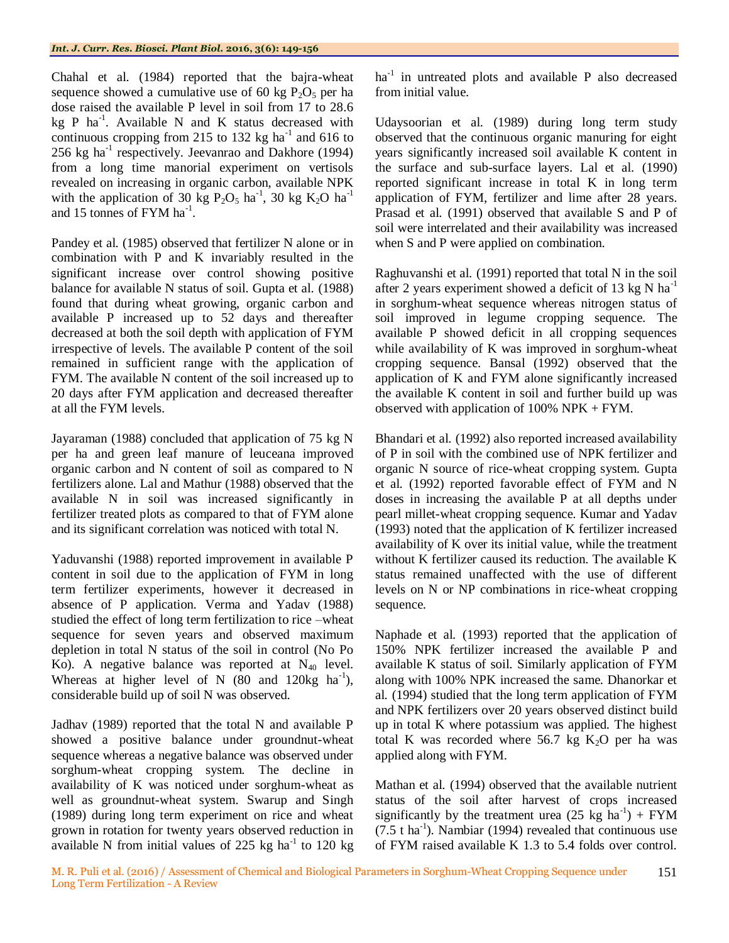Chahal et al*.* (1984) reported that the bajra-wheat sequence showed a cumulative use of 60 kg  $P_2O_5$  per ha dose raised the available P level in soil from 17 to 28.6 kg P ha<sup>-1</sup>. Available N and K status decreased with continuous cropping from 215 to 132 kg ha<sup>-1</sup> and 616 to 256 kg ha<sup>-1</sup> respectively. Jeevanrao and Dakhore (1994) from a long time manorial experiment on vertisols revealed on increasing in organic carbon, available NPK with the application of 30 kg  $P_2O_5$  ha<sup>-1</sup>, 30 kg  $K_2O$  ha<sup>-1</sup> and 15 tonnes of FYM  $ha^{-1}$ .

Pandey et al. (1985) observed that fertilizer N alone or in combination with P and K invariably resulted in the significant increase over control showing positive balance for available N status of soil. Gupta et al*.* (1988) found that during wheat growing, organic carbon and available P increased up to 52 days and thereafter decreased at both the soil depth with application of FYM irrespective of levels. The available P content of the soil remained in sufficient range with the application of FYM. The available N content of the soil increased up to 20 days after FYM application and decreased thereafter at all the FYM levels.

Jayaraman (1988) concluded that application of 75 kg N per ha and green leaf manure of leuceana improved organic carbon and N content of soil as compared to N fertilizers alone. Lal and Mathur (1988) observed that the available N in soil was increased significantly in fertilizer treated plots as compared to that of FYM alone and its significant correlation was noticed with total N.

Yaduvanshi (1988) reported improvement in available P content in soil due to the application of FYM in long term fertilizer experiments, however it decreased in absence of P application. Verma and Yadav (1988) studied the effect of long term fertilization to rice –wheat sequence for seven years and observed maximum depletion in total N status of the soil in control (No Po Ko). A negative balance was reported at  $N_{40}$  level. Whereas at higher level of N  $(80 \text{ and } 120 \text{kg } \text{ha}^{-1})$ , considerable build up of soil N was observed.

Jadhav (1989) reported that the total N and available P showed a positive balance under groundnut-wheat sequence whereas a negative balance was observed under sorghum-wheat cropping system. The decline in availability of K was noticed under sorghum-wheat as well as groundnut-wheat system. Swarup and Singh (1989) during long term experiment on rice and wheat grown in rotation for twenty years observed reduction in available N from initial values of 225 kg ha $^{-1}$  to 120 kg

 $ha^{-1}$  in untreated plots and available P also decreased from initial value.

Udaysoorian et al*.* (1989) during long term study observed that the continuous organic manuring for eight years significantly increased soil available K content in the surface and sub-surface layers. Lal et al*.* (1990) reported significant increase in total K in long term application of FYM, fertilizer and lime after 28 years. Prasad et al*.* (1991) observed that available S and P of soil were interrelated and their availability was increased when S and P were applied on combination.

Raghuvanshi et al*.* (1991) reported that total N in the soil after 2 years experiment showed a deficit of 13 kg N ha<sup>-1</sup> in sorghum-wheat sequence whereas nitrogen status of soil improved in legume cropping sequence. The available P showed deficit in all cropping sequences while availability of K was improved in sorghum-wheat cropping sequence. Bansal (1992) observed that the application of K and FYM alone significantly increased the available K content in soil and further build up was observed with application of 100% NPK + FYM.

Bhandari et al*.* (1992) also reported increased availability of P in soil with the combined use of NPK fertilizer and organic N source of rice-wheat cropping system. Gupta et al*.* (1992) reported favorable effect of FYM and N doses in increasing the available P at all depths under pearl millet-wheat cropping sequence. Kumar and Yadav (1993) noted that the application of K fertilizer increased availability of K over its initial value, while the treatment without K fertilizer caused its reduction. The available K status remained unaffected with the use of different levels on N or NP combinations in rice-wheat cropping sequence.

Naphade et al*.* (1993) reported that the application of 150% NPK fertilizer increased the available P and available K status of soil. Similarly application of FYM along with 100% NPK increased the same. Dhanorkar et al*.* (1994) studied that the long term application of FYM and NPK fertilizers over 20 years observed distinct build up in total K where potassium was applied. The highest total K was recorded where  $56.7$  kg  $K<sub>2</sub>O$  per ha was applied along with FYM.

Mathan et al*.* (1994) observed that the available nutrient status of the soil after harvest of crops increased significantly by the treatment urea  $(25 \text{ kg} \text{ ha}^{-1}) + \text{FYM}$  $(7.5 \text{ t ha}^{-1})$ . Nambiar (1994) revealed that continuous use of FYM raised available K 1.3 to 5.4 folds over control.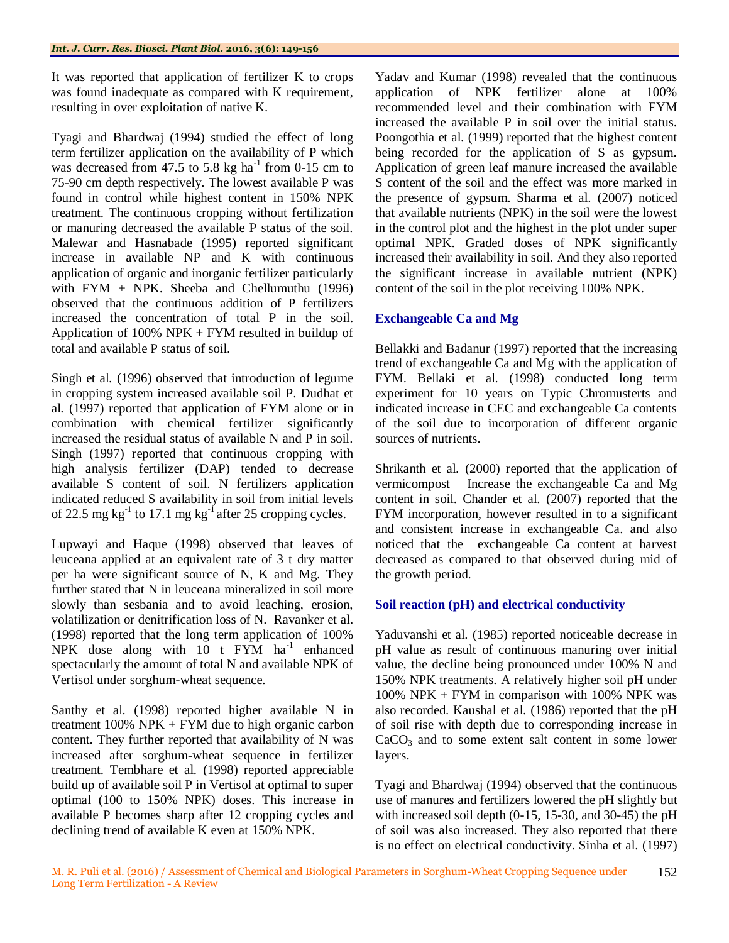It was reported that application of fertilizer K to crops was found inadequate as compared with K requirement, resulting in over exploitation of native K.

Tyagi and Bhardwaj (1994) studied the effect of long term fertilizer application on the availability of P which was decreased from 47.5 to 5.8 kg ha<sup>-1</sup> from 0-15 cm to 75-90 cm depth respectively. The lowest available P was found in control while highest content in 150% NPK treatment. The continuous cropping without fertilization or manuring decreased the available P status of the soil. Malewar and Hasnabade (1995) reported significant increase in available NP and K with continuous application of organic and inorganic fertilizer particularly with FYM + NPK. Sheeba and Chellumuthu  $(1996)$ observed that the continuous addition of P fertilizers increased the concentration of total P in the soil. Application of 100% NPK + FYM resulted in buildup of total and available P status of soil.

Singh et al*.* (1996) observed that introduction of legume in cropping system increased available soil P. Dudhat et al*.* (1997) reported that application of FYM alone or in combination with chemical fertilizer significantly increased the residual status of available N and P in soil. Singh (1997) reported that continuous cropping with high analysis fertilizer (DAP) tended to decrease available S content of soil. N fertilizers application indicated reduced S availability in soil from initial levels of 22.5 mg kg<sup>-1</sup> to 17.1 mg kg<sup>-1</sup> after 25 cropping cycles.

Lupwayi and Haque (1998) observed that leaves of leuceana applied at an equivalent rate of 3 t dry matter per ha were significant source of N, K and Mg. They further stated that N in leuceana mineralized in soil more slowly than sesbania and to avoid leaching, erosion, volatilization or denitrification loss of N. Ravanker et al*.* (1998) reported that the long term application of 100% NPK dose along with  $10$  t FYM ha<sup>-1</sup> enhanced spectacularly the amount of total N and available NPK of Vertisol under sorghum-wheat sequence.

Santhy et al*.* (1998) reported higher available N in treatment  $100\%$  NPK + FYM due to high organic carbon content. They further reported that availability of N was increased after sorghum-wheat sequence in fertilizer treatment. Tembhare et al*.* (1998) reported appreciable build up of available soil P in Vertisol at optimal to super optimal (100 to 150% NPK) doses. This increase in available P becomes sharp after 12 cropping cycles and declining trend of available K even at 150% NPK.

Yadav and Kumar (1998) revealed that the continuous application of NPK fertilizer alone at 100% recommended level and their combination with FYM increased the available P in soil over the initial status. Poongothia et al. (1999) reported that the highest content being recorded for the application of S as gypsum. Application of green leaf manure increased the available S content of the soil and the effect was more marked in the presence of gypsum. Sharma et al*.* (2007) noticed that available nutrients (NPK) in the soil were the lowest in the control plot and the highest in the plot under super optimal NPK. Graded doses of NPK significantly increased their availability in soil. And they also reported the significant increase in available nutrient (NPK) content of the soil in the plot receiving 100% NPK.

# **Exchangeable Ca and Mg**

Bellakki and Badanur (1997) reported that the increasing trend of exchangeable Ca and Mg with the application of FYM. Bellaki et al*.* (1998) conducted long term experiment for 10 years on Typic Chromusterts and indicated increase in CEC and exchangeable Ca contents of the soil due to incorporation of different organic sources of nutrients.

Shrikanth et al*.* (2000) reported that the application of vermicompost Increase the exchangeable Ca and Mg content in soil. Chander et al*.* (2007) reported that the FYM incorporation, however resulted in to a significant and consistent increase in exchangeable Ca. and also noticed that the exchangeable Ca content at harvest decreased as compared to that observed during mid of the growth period.

# **Soil reaction (pH) and electrical conductivity**

Yaduvanshi et al*.* (1985) reported noticeable decrease in pH value as result of continuous manuring over initial value, the decline being pronounced under 100% N and 150% NPK treatments. A relatively higher soil pH under 100% NPK + FYM in comparison with 100% NPK was also recorded. Kaushal et al*.* (1986) reported that the pH of soil rise with depth due to corresponding increase in  $CaCO<sub>3</sub>$  and to some extent salt content in some lower layers.

Tyagi and Bhardwaj (1994) observed that the continuous use of manures and fertilizers lowered the pH slightly but with increased soil depth (0-15, 15-30, and 30-45) the pH of soil was also increased. They also reported that there is no effect on electrical conductivity. Sinha et al*.* (1997)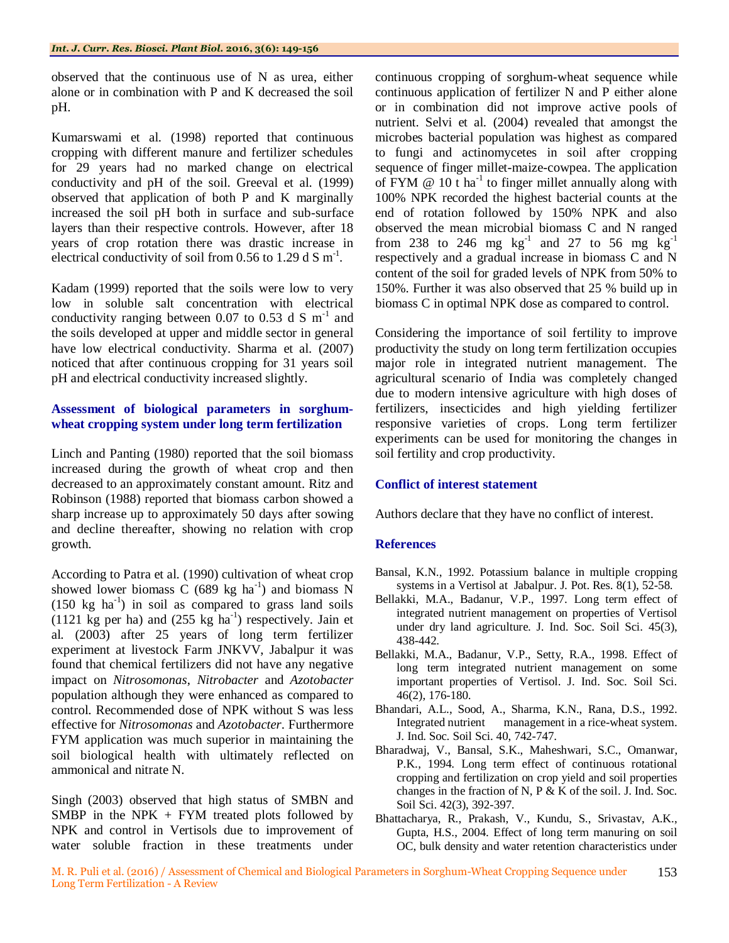observed that the continuous use of N as urea, either alone or in combination with P and K decreased the soil pH.

Kumarswami et al*.* (1998) reported that continuous cropping with different manure and fertilizer schedules for 29 years had no marked change on electrical conductivity and pH of the soil. Greeval et al*.* (1999) observed that application of both P and K marginally increased the soil pH both in surface and sub-surface layers than their respective controls. However, after 18 years of crop rotation there was drastic increase in electrical conductivity of soil from 0.56 to 1.29 d S  $m^{-1}$ .

Kadam (1999) reported that the soils were low to very low in soluble salt concentration with electrical conductivity ranging between 0.07 to 0.53 d S  $m^{-1}$  and the soils developed at upper and middle sector in general have low electrical conductivity. Sharma et al*.* (2007) noticed that after continuous cropping for 31 years soil pH and electrical conductivity increased slightly.

### **Assessment of biological parameters in sorghumwheat cropping system under long term fertilization**

Linch and Panting (1980) reported that the soil biomass increased during the growth of wheat crop and then decreased to an approximately constant amount. Ritz and Robinson (1988) reported that biomass carbon showed a sharp increase up to approximately 50 days after sowing and decline thereafter, showing no relation with crop growth.

According to Patra et al*.* (1990) cultivation of wheat crop showed lower biomass C (689 kg ha<sup>-1</sup>) and biomass N  $(150 \text{ kg } \text{ha}^{-1})$  in soil as compared to grass land soils  $(1121 \text{ kg per ha})$  and  $(255 \text{ kg ha}^{-1})$  respectively. Jain et al*.* (2003) after 25 years of long term fertilizer experiment at livestock Farm JNKVV, Jabalpur it was found that chemical fertilizers did not have any negative impact on *Nitrosomonas*, *Nitrobacter* and *Azotobacter* population although they were enhanced as compared to control. Recommended dose of NPK without S was less effective for *Nitrosomonas* and *Azotobacter*. Furthermore FYM application was much superior in maintaining the soil biological health with ultimately reflected on ammonical and nitrate N.

Singh (2003) observed that high status of SMBN and SMBP in the NPK  $+$  FYM treated plots followed by NPK and control in Vertisols due to improvement of water soluble fraction in these treatments under

continuous cropping of sorghum-wheat sequence while continuous application of fertilizer N and P either alone or in combination did not improve active pools of nutrient. Selvi et al*.* (2004) revealed that amongst the microbes bacterial population was highest as compared to fungi and actinomycetes in soil after cropping sequence of finger millet-maize-cowpea. The application of FYM  $@ 10$  t ha<sup>-1</sup> to finger millet annually along with 100% NPK recorded the highest bacterial counts at the end of rotation followed by 150% NPK and also observed the mean microbial biomass C and N ranged from 238 to 246 mg  $\text{kg}^{-1}$  and 27 to 56 mg  $\text{kg}^{-1}$ respectively and a gradual increase in biomass C and N content of the soil for graded levels of NPK from 50% to 150%. Further it was also observed that 25 % build up in biomass C in optimal NPK dose as compared to control.

Considering the importance of soil fertility to improve productivity the study on long term fertilization occupies major role in integrated nutrient management. The agricultural scenario of India was completely changed due to modern intensive agriculture with high doses of fertilizers, insecticides and high yielding fertilizer responsive varieties of crops. Long term fertilizer experiments can be used for monitoring the changes in soil fertility and crop productivity.

# **Conflict of interest statement**

Authors declare that they have no conflict of interest.

#### **References**

- Bansal, K.N., 1992. Potassium balance in multiple cropping systems in a Vertisol at Jabalpur. J. Pot. Res. 8(1), 52-58.
- Bellakki, M.A., Badanur, V.P., 1997. Long term effect of integrated nutrient management on properties of Vertisol under dry land agriculture. J. Ind. Soc. Soil Sci. 45(3), 438-442.
- Bellakki, M.A., Badanur, V.P., Setty, R.A., 1998. Effect of long term integrated nutrient management on some important properties of Vertisol. J. Ind. Soc. Soil Sci. 46(2), 176-180.
- Bhandari, A.L., Sood, A., Sharma, K.N., Rana, D.S., 1992. Integrated nutrient management in a rice-wheat system. J. Ind. Soc. Soil Sci. 40, 742-747.
- Bharadwaj, V., Bansal, S.K., Maheshwari, S.C., Omanwar, P.K., 1994. Long term effect of continuous rotational cropping and fertilization on crop yield and soil properties changes in the fraction of N, P & K of the soil. J. Ind. Soc. Soil Sci. 42(3), 392-397.
- Bhattacharya, R., Prakash, V., Kundu, S., Srivastav, A.K., Gupta, H.S., 2004. Effect of long term manuring on soil OC, bulk density and water retention characteristics under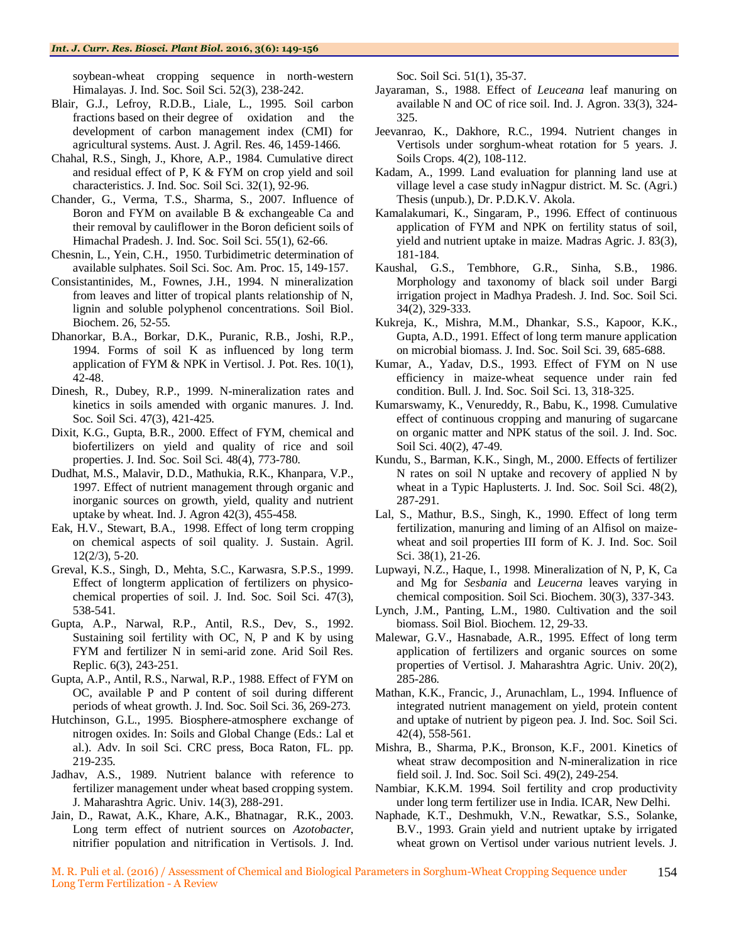soybean-wheat cropping sequence in north-western Himalayas. J. Ind. Soc. Soil Sci. 52(3), 238-242.

- Blair, G.J., Lefroy, R.D.B., Liale, L., 1995. Soil carbon fractions based on their degree of oxidation and the development of carbon management index (CMI) for agricultural systems. Aust. J. Agril. Res. 46, 1459-1466.
- Chahal, R.S., Singh, J., Khore, A.P., 1984. Cumulative direct and residual effect of P, K & FYM on crop yield and soil characteristics. J. Ind. Soc. Soil Sci. 32(1), 92-96.
- Chander, G., Verma, T.S., Sharma, S., 2007. Influence of Boron and FYM on available B & exchangeable Ca and their removal by cauliflower in the Boron deficient soils of Himachal Pradesh. J. Ind. Soc. Soil Sci. 55(1), 62-66.
- Chesnin, L., Yein, C.H., 1950. Turbidimetric determination of available sulphates. Soil Sci. Soc. Am. Proc. 15, 149-157.
- Consistantinides, M., Fownes, J.H., 1994. N mineralization from leaves and litter of tropical plants relationship of N, lignin and soluble polyphenol concentrations. Soil Biol. Biochem. 26, 52-55.
- Dhanorkar, B.A., Borkar, D.K., Puranic, R.B., Joshi, R.P., 1994. Forms of soil K as influenced by long term application of FYM & NPK in Vertisol. J. Pot. Res. 10(1), 42-48.
- Dinesh, R., Dubey, R.P., 1999. N-mineralization rates and kinetics in soils amended with organic manures. J. Ind. Soc. Soil Sci. 47(3), 421-425.
- Dixit, K.G., Gupta, B.R., 2000. Effect of FYM, chemical and biofertilizers on yield and quality of rice and soil properties. J. Ind. Soc. Soil Sci. 48(4), 773-780.
- Dudhat, M.S., Malavir, D.D., Mathukia, R.K., Khanpara, V.P., 1997. Effect of nutrient management through organic and inorganic sources on growth, yield, quality and nutrient uptake by wheat. Ind. J. Agron 42(3), 455-458.
- Eak, H.V., Stewart, B.A., 1998. Effect of long term cropping on chemical aspects of soil quality. J. Sustain. Agril. 12(2/3), 5-20.
- Greval, K.S., Singh, D., Mehta, S.C., Karwasra, S.P.S., 1999. Effect of longterm application of fertilizers on physicochemical properties of soil. J. Ind. Soc. Soil Sci. 47(3), 538-541.
- Gupta, A.P., Narwal, R.P., Antil, R.S., Dev, S., 1992. Sustaining soil fertility with OC, N, P and K by using FYM and fertilizer N in semi-arid zone. Arid Soil Res. Replic. 6(3), 243-251.
- Gupta, A.P., Antil, R.S., Narwal, R.P., 1988. Effect of FYM on OC, available P and P content of soil during different periods of wheat growth. J. Ind. Soc. Soil Sci. 36, 269-273.
- Hutchinson, G.L., 1995. Biosphere-atmosphere exchange of nitrogen oxides. In: Soils and Global Change (Eds.: Lal et al.). Adv. In soil Sci. CRC press, Boca Raton, FL. pp. 219-235.
- Jadhav, A.S., 1989. Nutrient balance with reference to fertilizer management under wheat based cropping system. J. Maharashtra Agric. Univ. 14(3), 288-291.
- Jain, D., Rawat, A.K., Khare, A.K., Bhatnagar, R.K., 2003. Long term effect of nutrient sources on *Azotobacter*, nitrifier population and nitrification in Vertisols. J. Ind.

Soc. Soil Sci. 51(1), 35-37.

- Jayaraman, S., 1988. Effect of *Leuceana* leaf manuring on available N and OC of rice soil. Ind. J. Agron. 33(3), 324- 325.
- Jeevanrao, K., Dakhore, R.C., 1994. Nutrient changes in Vertisols under sorghum-wheat rotation for 5 years. J. Soils Crops. 4(2), 108-112.
- Kadam, A., 1999. Land evaluation for planning land use at village level a case study inNagpur district. M. Sc. (Agri.) Thesis (unpub.), Dr. P.D.K.V. Akola.
- Kamalakumari, K., Singaram, P., 1996. Effect of continuous application of FYM and NPK on fertility status of soil, yield and nutrient uptake in maize. Madras Agric. J. 83(3), 181-184.
- Kaushal, G.S., Tembhore, G.R., Sinha, S.B., 1986. Morphology and taxonomy of black soil under Bargi irrigation project in Madhya Pradesh. J. Ind. Soc. Soil Sci. 34(2), 329-333.
- Kukreja, K., Mishra, M.M., Dhankar, S.S., Kapoor, K.K., Gupta, A.D., 1991. Effect of long term manure application on microbial biomass. J. Ind. Soc. Soil Sci. 39, 685-688.
- Kumar, A., Yadav, D.S., 1993. Effect of FYM on N use efficiency in maize-wheat sequence under rain fed condition. Bull. J. Ind. Soc. Soil Sci. 13, 318-325.
- Kumarswamy, K., Venureddy, R., Babu, K., 1998. Cumulative effect of continuous cropping and manuring of sugarcane on organic matter and NPK status of the soil. J. Ind. Soc. Soil Sci. 40(2), 47-49.
- Kundu, S., Barman, K.K., Singh, M., 2000. Effects of fertilizer N rates on soil N uptake and recovery of applied N by wheat in a Typic Haplusterts. J. Ind. Soc. Soil Sci. 48(2), 287-291.
- Lal, S., Mathur, B.S., Singh, K., 1990. Effect of long term fertilization, manuring and liming of an Alfisol on maizewheat and soil properties III form of K. J. Ind. Soc. Soil Sci. 38(1), 21-26.
- Lupwayi, N.Z., Haque, I., 1998. Mineralization of N, P, K, Ca and Mg for *Sesbania* and *Leucerna* leaves varying in chemical composition. Soil Sci. Biochem. 30(3), 337-343.
- Lynch, J.M., Panting, L.M., 1980. Cultivation and the soil biomass. Soil Biol. Biochem. 12, 29-33.
- Malewar, G.V., Hasnabade, A.R., 1995. Effect of long term application of fertilizers and organic sources on some properties of Vertisol. J. Maharashtra Agric. Univ. 20(2), 285-286.
- Mathan, K.K., Francic, J., Arunachlam, L., 1994. Influence of integrated nutrient management on yield, protein content and uptake of nutrient by pigeon pea. J. Ind. Soc. Soil Sci. 42(4), 558-561.
- Mishra, B., Sharma, P.K., Bronson, K.F., 2001. Kinetics of wheat straw decomposition and N-mineralization in rice field soil. J. Ind. Soc. Soil Sci. 49(2), 249-254.
- Nambiar, K.K.M. 1994. Soil fertility and crop productivity under long term fertilizer use in India. ICAR, New Delhi.
- Naphade, K.T., Deshmukh, V.N., Rewatkar, S.S., Solanke, B.V., 1993. Grain yield and nutrient uptake by irrigated wheat grown on Vertisol under various nutrient levels. J.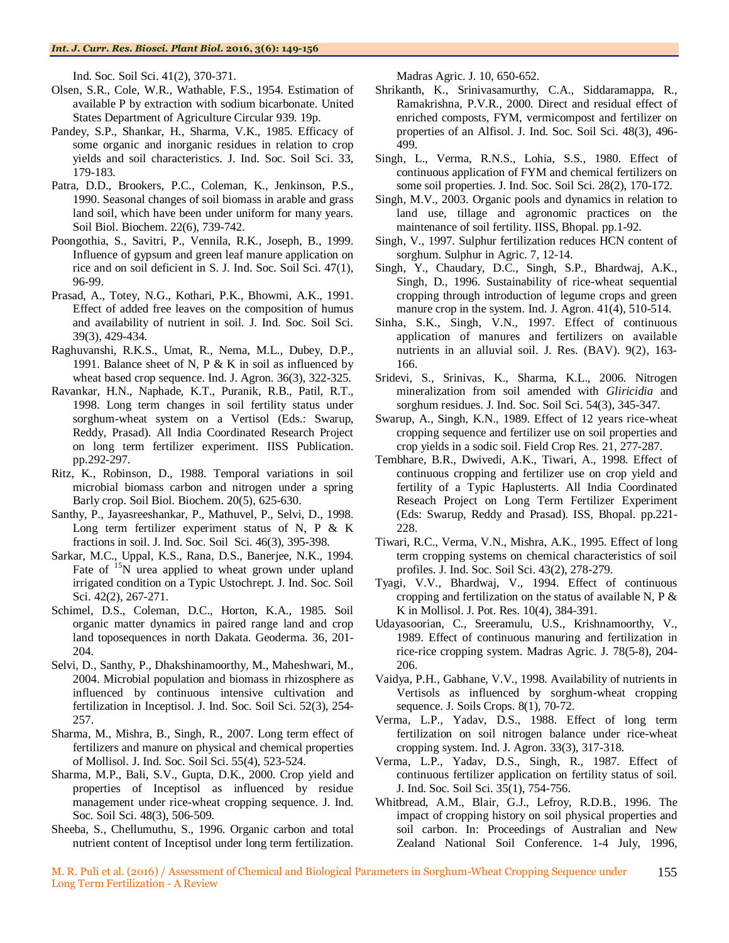Ind. Soc. Soil Sci. 41(2), 370-371.

- Olsen, S.R., Cole, W.R., Wathable, F.S., 1954. Estimation of available P by extraction with sodium bicarbonate. United States Department of Agriculture Circular 939. 19p.
- Pandey, S.P., Shankar, H., Sharma, V.K., 1985. Efficacy of some organic and inorganic residues in relation to crop yields and soil characteristics. J. Ind. Soc. Soil Sci. 33, 179-183.
- Patra, D.D., Brookers, P.C., Coleman, K., Jenkinson, P.S., 1990. Seasonal changes of soil biomass in arable and grass land soil, which have been under uniform for many years. Soil Biol. Biochem. 22(6), 739-742.
- Poongothia, S., Savitri, P., Vennila, R.K., Joseph, B., 1999. Influence of gypsum and green leaf manure application on rice and on soil deficient in S. J. Ind. Soc. Soil Sci. 47(1), 96-99.
- Prasad, A., Totey, N.G., Kothari, P.K., Bhowmi, A.K., 1991. Effect of added free leaves on the composition of humus and availability of nutrient in soil. J. Ind. Soc. Soil Sci. 39(3), 429-434.
- Raghuvanshi, R.K.S., Umat, R., Nema, M.L., Dubey, D.P., 1991. Balance sheet of N, P  $& K$  in soil as influenced by wheat based crop sequence. Ind. J. Agron. 36(3), 322-325.
- Ravankar, H.N., Naphade, K.T., Puranik, R.B., Patil, R.T., 1998. Long term changes in soil fertility status under sorghum-wheat system on a Vertisol (Eds.: Swarup, Reddy, Prasad). All India Coordinated Research Project on long term fertilizer experiment. IISS Publication. pp.292-297.
- Ritz, K., Robinson, D., 1988. Temporal variations in soil microbial biomass carbon and nitrogen under a spring Barly crop. Soil Biol. Biochem. 20(5), 625-630.
- Santhy, P., Jayasreeshankar, P., Mathuvel, P., Selvi, D., 1998. Long term fertilizer experiment status of N, P & K fractions in soil. J. Ind. Soc. Soil Sci. 46(3), 395-398.
- Sarkar, M.C., Uppal, K.S., Rana, D.S., Banerjee, N.K., 1994. Fate of <sup>15</sup>N urea applied to wheat grown under upland irrigated condition on a Typic Ustochrept. J. Ind. Soc. Soil Sci. 42(2), 267-271.
- Schimel, D.S., Coleman, D.C., Horton, K.A., 1985. Soil organic matter dynamics in paired range land and crop land toposequences in north Dakata. Geoderma. 36, 201- 204.
- Selvi, D., Santhy, P., Dhakshinamoorthy, M., Maheshwari, M., 2004. Microbial population and biomass in rhizosphere as influenced by continuous intensive cultivation and fertilization in Inceptisol. J. Ind. Soc. Soil Sci. 52(3), 254- 257.
- Sharma, M., Mishra, B., Singh, R., 2007. Long term effect of fertilizers and manure on physical and chemical properties of Mollisol. J. Ind. Soc. Soil Sci. 55(4), 523-524.
- Sharma, M.P., Bali, S.V., Gupta, D.K., 2000. Crop yield and properties of Inceptisol as influenced by residue management under rice-wheat cropping sequence. J. Ind. Soc. Soil Sci. 48(3), 506-509.
- Sheeba, S., Chellumuthu, S., 1996. Organic carbon and total nutrient content of Inceptisol under long term fertilization.

Madras Agric. J. 10, 650-652.

- Shrikanth, K., Srinivasamurthy, C.A., Siddaramappa, R., Ramakrishna, P.V.R., 2000. Direct and residual effect of enriched composts, FYM, vermicompost and fertilizer on properties of an Alfisol. J. Ind. Soc. Soil Sci. 48(3), 496- 499.
- Singh, L., Verma, R.N.S., Lohia, S.S., 1980. Effect of continuous application of FYM and chemical fertilizers on some soil properties. J. Ind. Soc. Soil Sci. 28(2), 170-172.
- Singh, M.V., 2003. Organic pools and dynamics in relation to land use, tillage and agronomic practices on the maintenance of soil fertility. IISS, Bhopal. pp.1-92.
- Singh, V., 1997. Sulphur fertilization reduces HCN content of sorghum. Sulphur in Agric. 7, 12-14.
- Singh, Y., Chaudary, D.C., Singh, S.P., Bhardwaj, A.K., Singh, D., 1996. Sustainability of rice-wheat sequential cropping through introduction of legume crops and green manure crop in the system. Ind. J. Agron. 41(4), 510-514.
- Sinha, S.K., Singh, V.N., 1997. Effect of continuous application of manures and fertilizers on available nutrients in an alluvial soil. J. Res. (BAV). 9(2), 163- 166.
- Sridevi, S., Srinivas, K., Sharma, K.L., 2006. Nitrogen mineralization from soil amended with *Gliricidia* and sorghum residues. J. Ind. Soc. Soil Sci. 54(3), 345-347.
- Swarup, A., Singh, K.N., 1989. Effect of 12 years rice-wheat cropping sequence and fertilizer use on soil properties and crop yields in a sodic soil. Field Crop Res. 21, 277-287.
- Tembhare, B.R., Dwivedi, A.K., Tiwari, A., 1998. Effect of continuous cropping and fertilizer use on crop yield and fertility of a Typic Haplusterts. All India Coordinated Reseach Project on Long Term Fertilizer Experiment (Eds: Swarup, Reddy and Prasad). ISS, Bhopal. pp.221- 228.
- Tiwari, R.C., Verma, V.N., Mishra, A.K., 1995. Effect of long term cropping systems on chemical characteristics of soil profiles. J. Ind. Soc. Soil Sci. 43(2), 278-279.
- Tyagi, V.V., Bhardwaj, V., 1994. Effect of continuous cropping and fertilization on the status of available N,  $P \&$ K in Mollisol. J. Pot. Res. 10(4), 384-391.
- Udayasoorian, C., Sreeramulu, U.S., Krishnamoorthy, V., 1989. Effect of continuous manuring and fertilization in rice-rice cropping system. Madras Agric. J. 78(5-8), 204- 206.
- Vaidya, P.H., Gabhane, V.V., 1998. Availability of nutrients in Vertisols as influenced by sorghum-wheat cropping sequence. J. Soils Crops. 8(1), 70-72.
- Verma, L.P., Yadav, D.S., 1988. Effect of long term fertilization on soil nitrogen balance under rice-wheat cropping system. Ind. J. Agron. 33(3), 317-318.
- Verma, L.P., Yadav, D.S., Singh, R., 1987. Effect of continuous fertilizer application on fertility status of soil. J. Ind. Soc. Soil Sci. 35(1), 754-756.
- Whitbread, A.M., Blair, G.J., Lefroy, R.D.B., 1996. The impact of cropping history on soil physical properties and soil carbon. In: Proceedings of Australian and New Zealand National Soil Conference. 1-4 July, 1996,